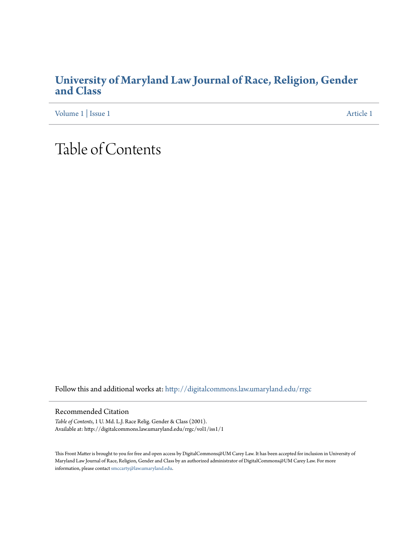## **[University of Maryland Law Journal of Race, Religion, Gender](http://digitalcommons.law.umaryland.edu/rrgc?utm_source=digitalcommons.law.umaryland.edu%2Frrgc%2Fvol1%2Fiss1%2F1&utm_medium=PDF&utm_campaign=PDFCoverPages) [and Class](http://digitalcommons.law.umaryland.edu/rrgc?utm_source=digitalcommons.law.umaryland.edu%2Frrgc%2Fvol1%2Fiss1%2F1&utm_medium=PDF&utm_campaign=PDFCoverPages)**

[Volume 1](http://digitalcommons.law.umaryland.edu/rrgc/vol1?utm_source=digitalcommons.law.umaryland.edu%2Frrgc%2Fvol1%2Fiss1%2F1&utm_medium=PDF&utm_campaign=PDFCoverPages) | [Issue 1](http://digitalcommons.law.umaryland.edu/rrgc/vol1/iss1?utm_source=digitalcommons.law.umaryland.edu%2Frrgc%2Fvol1%2Fiss1%2F1&utm_medium=PDF&utm_campaign=PDFCoverPages) [Article 1](http://digitalcommons.law.umaryland.edu/rrgc/vol1/iss1/1?utm_source=digitalcommons.law.umaryland.edu%2Frrgc%2Fvol1%2Fiss1%2F1&utm_medium=PDF&utm_campaign=PDFCoverPages)

## Table of Contents

Follow this and additional works at: [http://digitalcommons.law.umaryland.edu/rrgc](http://digitalcommons.law.umaryland.edu/rrgc?utm_source=digitalcommons.law.umaryland.edu%2Frrgc%2Fvol1%2Fiss1%2F1&utm_medium=PDF&utm_campaign=PDFCoverPages)

## Recommended Citation

*Table of Contents*, 1 U. Md. L.J. Race Relig. Gender & Class (2001). Available at: http://digitalcommons.law.umaryland.edu/rrgc/vol1/iss1/1

This Front Matter is brought to you for free and open access by DigitalCommons@UM Carey Law. It has been accepted for inclusion in University of Maryland Law Journal of Race, Religion, Gender and Class by an authorized administrator of DigitalCommons@UM Carey Law. For more  $\mathop{\mathsf{information}}$  , please contact  $\mathop{\mathsf{smc}}\nolimits{\mathop{\rm arb}}$  (@law.umaryland.edu.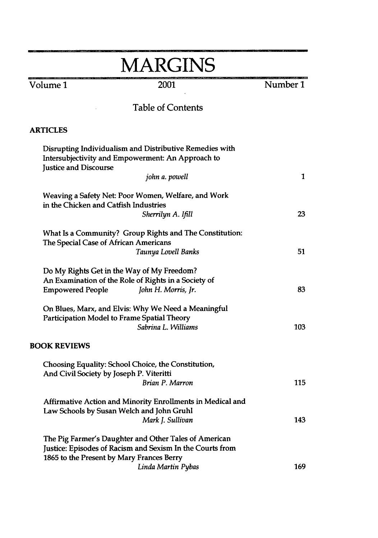| <b>MARGINS</b>                                                                                   |                                                                                                                    |          |
|--------------------------------------------------------------------------------------------------|--------------------------------------------------------------------------------------------------------------------|----------|
| Volume 1                                                                                         | 2001                                                                                                               | Number 1 |
|                                                                                                  | <b>Table of Contents</b>                                                                                           |          |
| <b>ARTICLES</b>                                                                                  |                                                                                                                    |          |
| <b>Justice and Discourse</b>                                                                     | Disrupting Individualism and Distributive Remedies with<br>Intersubjectivity and Empowerment: An Approach to       |          |
|                                                                                                  | john a. powell                                                                                                     | 1        |
| in the Chicken and Catfish Industries                                                            | Weaving a Safety Net: Poor Women, Welfare, and Work                                                                |          |
|                                                                                                  | Sherrilyn A. Ifill                                                                                                 | 23       |
| What Is a Community? Group Rights and The Constitution:<br>The Special Case of African Americans |                                                                                                                    |          |
|                                                                                                  | Taunya Lovell Banks                                                                                                | 51       |
|                                                                                                  | Do My Rights Get in the Way of My Freedom?                                                                         |          |
| <b>Empowered People</b>                                                                          | An Examination of the Role of Rights in a Society of<br>John H. Morris, Jr.                                        | 83       |
|                                                                                                  | On Blues, Marx, and Elvis: Why We Need a Meaningful<br>Participation Model to Frame Spatial Theory                 |          |
|                                                                                                  | Sabrina L. Williams                                                                                                | 103      |
| <b>BOOK REVIEWS</b>                                                                              |                                                                                                                    |          |
| And Civil Society by Joseph P. Viteritti                                                         | Choosing Equality: School Choice, the Constitution,                                                                |          |
|                                                                                                  | Brian P. Marron                                                                                                    | 115      |
|                                                                                                  | Affirmative Action and Minority Enrollments in Medical and                                                         |          |
|                                                                                                  | Law Schools by Susan Welch and John Gruhl<br>Mark J. Sullivan                                                      | 143      |
| 1865 to the Present by Mary Frances Berry                                                        | The Pig Farmer's Daughter and Other Tales of American<br>Justice: Episodes of Racism and Sexism In the Courts from |          |
|                                                                                                  | Linda Martin Pybas                                                                                                 | 169      |